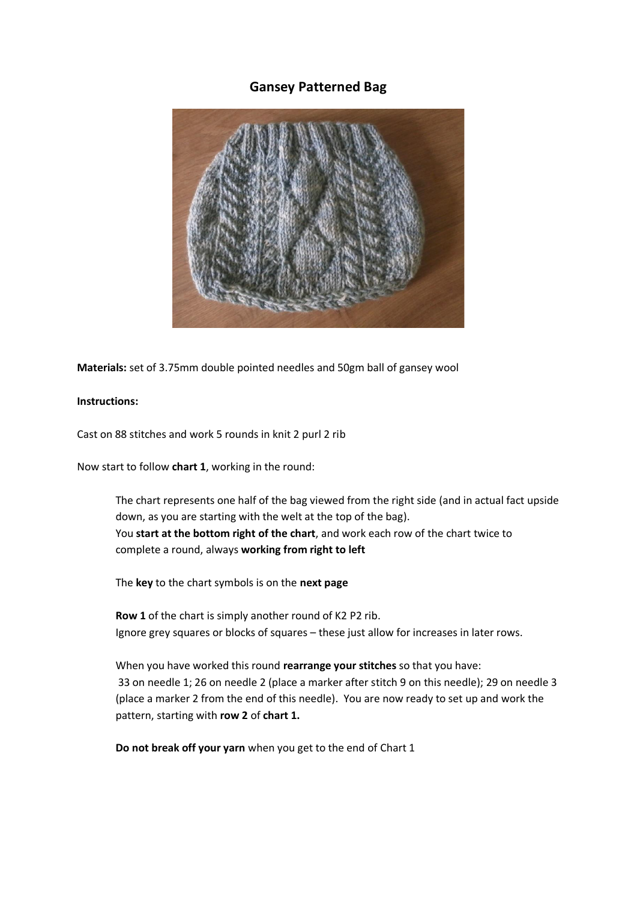## **Gansey Patterned Bag**



**Materials:** set of 3.75mm double pointed needles and 50gm ball of gansey wool

## **Instructions:**

Cast on 88 stitches and work 5 rounds in knit 2 purl 2 rib

Now start to follow **chart 1**, working in the round:

The chart represents one half of the bag viewed from the right side (and in actual fact upside down, as you are starting with the welt at the top of the bag). You **start at the bottom right of the chart**, and work each row of the chart twice to complete a round, always **working from right to left**

The **key** to the chart symbols is on the **next page**

**Row 1** of the chart is simply another round of K2 P2 rib. Ignore grey squares or blocks of squares – these just allow for increases in later rows.

When you have worked this round **rearrange your stitches** so that you have: 33 on needle 1; 26 on needle 2 (place a marker after stitch 9 on this needle); 29 on needle 3 (place a marker 2 from the end of this needle). You are now ready to set up and work the pattern, starting with **row 2** of **chart 1.**

**Do not break off your yarn** when you get to the end of Chart 1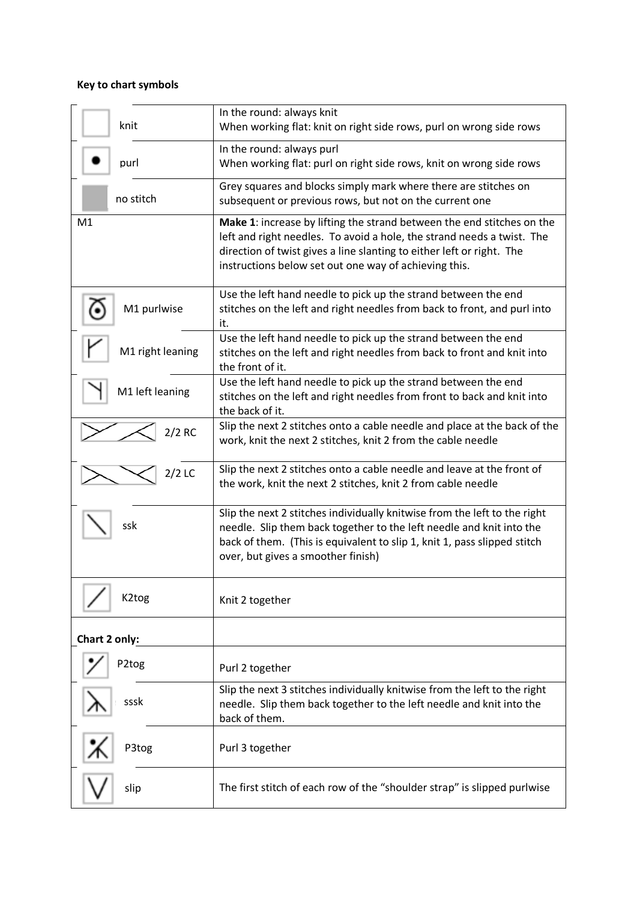# **Key to chart symbols**

| knit             | In the round: always knit<br>When working flat: knit on right side rows, purl on wrong side rows                                                                                                                                                                                   |
|------------------|------------------------------------------------------------------------------------------------------------------------------------------------------------------------------------------------------------------------------------------------------------------------------------|
| purl             | In the round: always purl<br>When working flat: purl on right side rows, knit on wrong side rows                                                                                                                                                                                   |
| no stitch        | Grey squares and blocks simply mark where there are stitches on<br>subsequent or previous rows, but not on the current one                                                                                                                                                         |
| M1               | Make 1: increase by lifting the strand between the end stitches on the<br>left and right needles. To avoid a hole, the strand needs a twist. The<br>direction of twist gives a line slanting to either left or right. The<br>instructions below set out one way of achieving this. |
| M1 purlwise      | Use the left hand needle to pick up the strand between the end<br>stitches on the left and right needles from back to front, and purl into<br>it.                                                                                                                                  |
| M1 right leaning | Use the left hand needle to pick up the strand between the end<br>stitches on the left and right needles from back to front and knit into<br>the front of it.                                                                                                                      |
| M1 left leaning  | Use the left hand needle to pick up the strand between the end<br>stitches on the left and right needles from front to back and knit into<br>the back of it.                                                                                                                       |
| $2/2$ RC         | Slip the next 2 stitches onto a cable needle and place at the back of the<br>work, knit the next 2 stitches, knit 2 from the cable needle                                                                                                                                          |
| $2/2$ LC         | Slip the next 2 stitches onto a cable needle and leave at the front of<br>the work, knit the next 2 stitches, knit 2 from cable needle                                                                                                                                             |
| ssk              | Slip the next 2 stitches individually knitwise from the left to the right<br>needle. Slip them back together to the left needle and knit into the<br>back of them. (This is equivalent to slip 1, knit 1, pass slipped stitch<br>over, but gives a smoother finish)                |
| K2tog            | Knit 2 together                                                                                                                                                                                                                                                                    |
| Chart 2 only:    |                                                                                                                                                                                                                                                                                    |
| P2tog            | Purl 2 together                                                                                                                                                                                                                                                                    |
| sssk             | Slip the next 3 stitches individually knitwise from the left to the right<br>needle. Slip them back together to the left needle and knit into the<br>back of them.                                                                                                                 |
| P3tog            | Purl 3 together                                                                                                                                                                                                                                                                    |
| slip             | The first stitch of each row of the "shoulder strap" is slipped purlwise                                                                                                                                                                                                           |